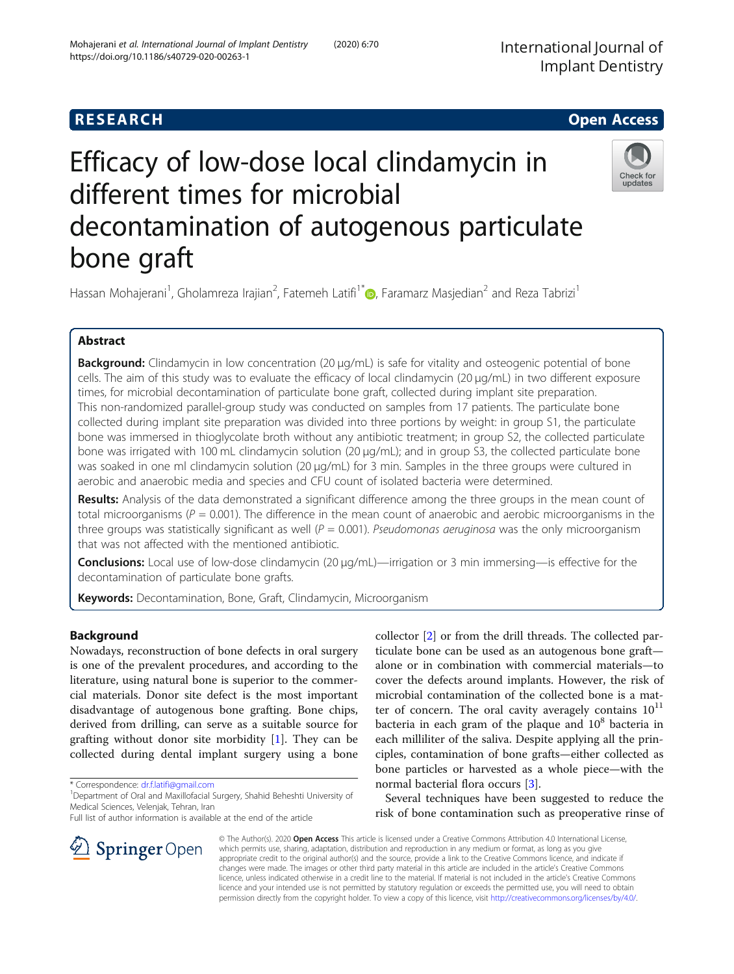## **RESEARCH CHILD CONTROL** CONTROL CONTROL CONTROL CONTROL CONTROL CONTROL CONTROL CONTROL CONTROL CONTROL CONTROL

# Efficacy of low-dose local clindamycin in different times for microbial decontamination of autogenous particulate bone graft



Hassan Mohajerani<sup>1</sup>, Gholamreza Irajian<sup>2</sup>, Fatemeh Latifi<sup>1[\\*](http://orcid.org/0000-0002-7326-0247)</sup>. Faramarz Masjedian<sup>2</sup> and Reza Tabrizi<sup>1</sup>

## Abstract

Background: Clindamycin in low concentration (20 μg/mL) is safe for vitality and osteogenic potential of bone cells. The aim of this study was to evaluate the efficacy of local clindamycin (20 μg/mL) in two different exposure times, for microbial decontamination of particulate bone graft, collected during implant site preparation. This non-randomized parallel-group study was conducted on samples from 17 patients. The particulate bone collected during implant site preparation was divided into three portions by weight: in group S1, the particulate bone was immersed in thioglycolate broth without any antibiotic treatment; in group S2, the collected particulate bone was irrigated with 100 mL clindamycin solution (20 μg/mL); and in group S3, the collected particulate bone was soaked in one ml clindamycin solution (20 μg/mL) for 3 min. Samples in the three groups were cultured in aerobic and anaerobic media and species and CFU count of isolated bacteria were determined.

Results: Analysis of the data demonstrated a significant difference among the three groups in the mean count of total microorganisms ( $P = 0.001$ ). The difference in the mean count of anaerobic and aerobic microorganisms in the three groups was statistically significant as well ( $P = 0.001$ ). Pseudomonas aeruginosa was the only microorganism that was not affected with the mentioned antibiotic.

Conclusions: Local use of low-dose clindamycin (20 µg/mL)—irrigation or 3 min immersing—is effective for the decontamination of particulate bone grafts.

Keywords: Decontamination, Bone, Graft, Clindamycin, Microorganism

## Background

Nowadays, reconstruction of bone defects in oral surgery is one of the prevalent procedures, and according to the literature, using natural bone is superior to the commercial materials. Donor site defect is the most important disadvantage of autogenous bone grafting. Bone chips, derived from drilling, can serve as a suitable source for grafting without donor site morbidity [[1\]](#page-5-0). They can be collected during dental implant surgery using a bone

\* Correspondence: [dr.f.latifi@gmail.com](mailto:dr.f.latifi@gmail.com) <sup>1</sup>

SpringerOpen

Full list of author information is available at the end of the article

collector [\[2](#page-5-0)] or from the drill threads. The collected particulate bone can be used as an autogenous bone graft alone or in combination with commercial materials—to cover the defects around implants. However, the risk of microbial contamination of the collected bone is a matter of concern. The oral cavity averagely contains  $10^{11}$ bacteria in each gram of the plaque and  $10^8$  bacteria in each milliliter of the saliva. Despite applying all the principles, contamination of bone grafts—either collected as bone particles or harvested as a whole piece—with the normal bacterial flora occurs [[3\]](#page-5-0).

Several techniques have been suggested to reduce the risk of bone contamination such as preoperative rinse of

© The Author(s). 2020 Open Access This article is licensed under a Creative Commons Attribution 4.0 International License, which permits use, sharing, adaptation, distribution and reproduction in any medium or format, as long as you give appropriate credit to the original author(s) and the source, provide a link to the Creative Commons licence, and indicate if changes were made. The images or other third party material in this article are included in the article's Creative Commons licence, unless indicated otherwise in a credit line to the material. If material is not included in the article's Creative Commons licence and your intended use is not permitted by statutory regulation or exceeds the permitted use, you will need to obtain permission directly from the copyright holder. To view a copy of this licence, visit <http://creativecommons.org/licenses/by/4.0/>.

<sup>&</sup>lt;sup>1</sup> Department of Oral and Maxillofacial Surgery, Shahid Beheshti University of Medical Sciences, Velenjak, Tehran, Iran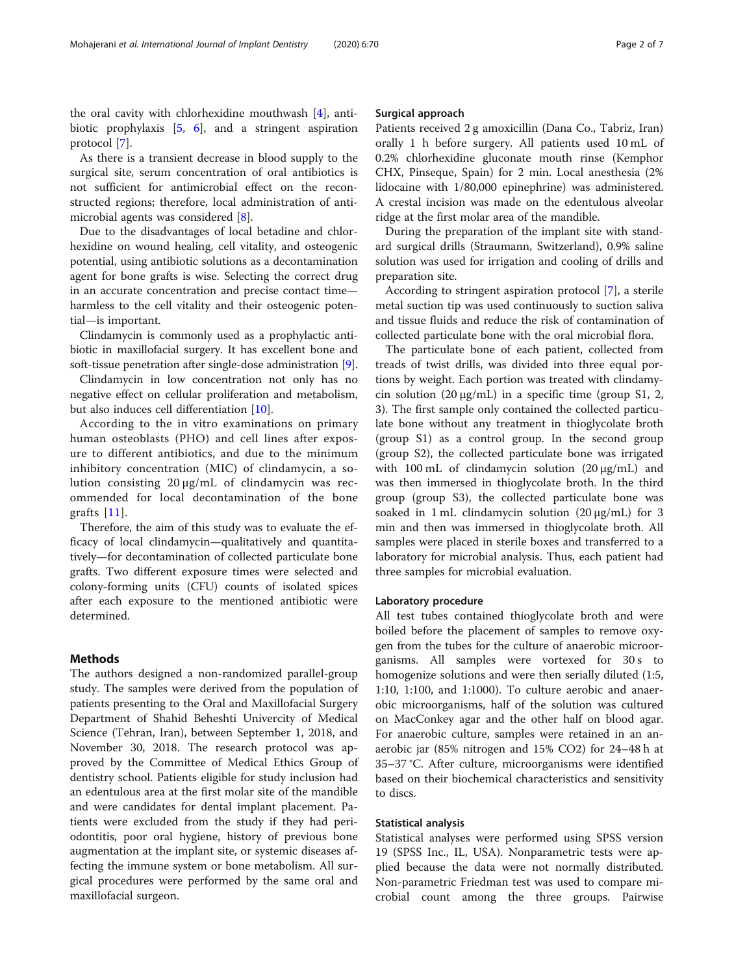the oral cavity with chlorhexidine mouthwash [\[4](#page-5-0)], antibiotic prophylaxis [\[5](#page-5-0), [6](#page-5-0)], and a stringent aspiration protocol [\[7](#page-5-0)].

As there is a transient decrease in blood supply to the surgical site, serum concentration of oral antibiotics is not sufficient for antimicrobial effect on the reconstructed regions; therefore, local administration of antimicrobial agents was considered [\[8](#page-5-0)].

Due to the disadvantages of local betadine and chlorhexidine on wound healing, cell vitality, and osteogenic potential, using antibiotic solutions as a decontamination agent for bone grafts is wise. Selecting the correct drug in an accurate concentration and precise contact time harmless to the cell vitality and their osteogenic potential—is important.

Clindamycin is commonly used as a prophylactic antibiotic in maxillofacial surgery. It has excellent bone and soft-tissue penetration after single-dose administration [\[9](#page-6-0)].

Clindamycin in low concentration not only has no negative effect on cellular proliferation and metabolism, but also induces cell differentiation [[10\]](#page-6-0).

According to the in vitro examinations on primary human osteoblasts (PHO) and cell lines after exposure to different antibiotics, and due to the minimum inhibitory concentration (MIC) of clindamycin, a solution consisting 20 μg/mL of clindamycin was recommended for local decontamination of the bone grafts [[11\]](#page-6-0).

Therefore, the aim of this study was to evaluate the efficacy of local clindamycin—qualitatively and quantitatively—for decontamination of collected particulate bone grafts. Two different exposure times were selected and colony-forming units (CFU) counts of isolated spices after each exposure to the mentioned antibiotic were determined.

### Methods

The authors designed a non-randomized parallel-group study. The samples were derived from the population of patients presenting to the Oral and Maxillofacial Surgery Department of Shahid Beheshti Univercity of Medical Science (Tehran, Iran), between September 1, 2018, and November 30, 2018. The research protocol was approved by the Committee of Medical Ethics Group of dentistry school. Patients eligible for study inclusion had an edentulous area at the first molar site of the mandible and were candidates for dental implant placement. Patients were excluded from the study if they had periodontitis, poor oral hygiene, history of previous bone augmentation at the implant site, or systemic diseases affecting the immune system or bone metabolism. All surgical procedures were performed by the same oral and maxillofacial surgeon.

#### Surgical approach

Patients received 2 g amoxicillin (Dana Co., Tabriz, Iran) orally 1 h before surgery. All patients used 10 mL of 0.2% chlorhexidine gluconate mouth rinse (Kemphor CHX, Pinseque, Spain) for 2 min. Local anesthesia (2% lidocaine with 1/80,000 epinephrine) was administered. A crestal incision was made on the edentulous alveolar ridge at the first molar area of the mandible.

During the preparation of the implant site with standard surgical drills (Straumann, Switzerland), 0.9% saline solution was used for irrigation and cooling of drills and preparation site.

According to stringent aspiration protocol [\[7](#page-5-0)], a sterile metal suction tip was used continuously to suction saliva and tissue fluids and reduce the risk of contamination of collected particulate bone with the oral microbial flora.

The particulate bone of each patient, collected from treads of twist drills, was divided into three equal portions by weight. Each portion was treated with clindamycin solution (20 μg/mL) in a specific time (group S1, 2, 3). The first sample only contained the collected particulate bone without any treatment in thioglycolate broth (group S1) as a control group. In the second group (group S2), the collected particulate bone was irrigated with 100 mL of clindamycin solution (20 μg/mL) and was then immersed in thioglycolate broth. In the third group (group S3), the collected particulate bone was soaked in 1 mL clindamycin solution  $(20 \mu g/mL)$  for 3 min and then was immersed in thioglycolate broth. All samples were placed in sterile boxes and transferred to a laboratory for microbial analysis. Thus, each patient had three samples for microbial evaluation.

#### Laboratory procedure

All test tubes contained thioglycolate broth and were boiled before the placement of samples to remove oxygen from the tubes for the culture of anaerobic microorganisms. All samples were vortexed for 30 s to homogenize solutions and were then serially diluted (1:5, 1:10, 1:100, and 1:1000). To culture aerobic and anaerobic microorganisms, half of the solution was cultured on MacConkey agar and the other half on blood agar. For anaerobic culture, samples were retained in an anaerobic jar (85% nitrogen and 15% CO2) for 24–48 h at 35–37 °C. After culture, microorganisms were identified based on their biochemical characteristics and sensitivity to discs.

#### Statistical analysis

Statistical analyses were performed using SPSS version 19 (SPSS Inc., IL, USA). Nonparametric tests were applied because the data were not normally distributed. Non-parametric Friedman test was used to compare microbial count among the three groups. Pairwise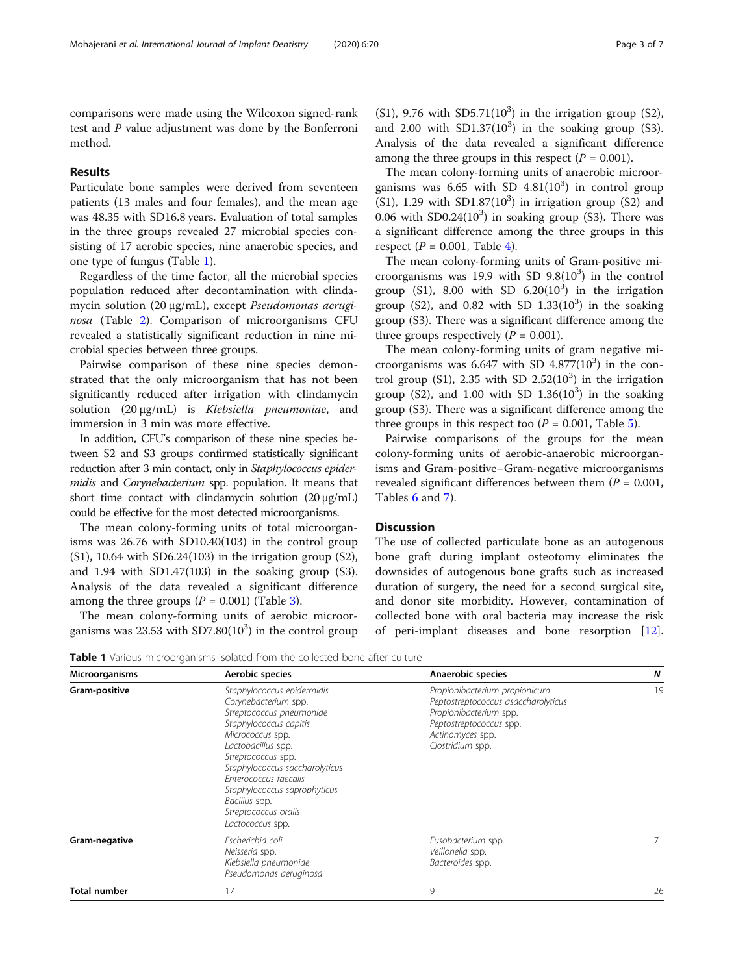comparisons were made using the Wilcoxon signed-rank test and P value adjustment was done by the Bonferroni method.

#### Results

Particulate bone samples were derived from seventeen patients (13 males and four females), and the mean age was 48.35 with SD16.8 years. Evaluation of total samples in the three groups revealed 27 microbial species consisting of 17 aerobic species, nine anaerobic species, and one type of fungus (Table 1).

Regardless of the time factor, all the microbial species population reduced after decontamination with clindamycin solution (20 μg/mL), except Pseudomonas aeruginosa (Table [2](#page-3-0)). Comparison of microorganisms CFU revealed a statistically significant reduction in nine microbial species between three groups.

Pairwise comparison of these nine species demonstrated that the only microorganism that has not been significantly reduced after irrigation with clindamycin solution (20 μg/mL) is Klebsiella pneumoniae, and immersion in 3 min was more effective.

In addition, CFU's comparison of these nine species between S2 and S3 groups confirmed statistically significant reduction after 3 min contact, only in Staphylococcus epidermidis and Corynebacterium spp. population. It means that short time contact with clindamycin solution (20 μg/mL) could be effective for the most detected microorganisms.

The mean colony-forming units of total microorganisms was 26.76 with SD10.40(103) in the control group (S1), 10.64 with SD6.24(103) in the irrigation group (S2), and 1.94 with SD1.47(103) in the soaking group (S3). Analysis of the data revealed a significant difference among the three groups  $(P = 0.001)$  (Table [3](#page-3-0)).

The mean colony-forming units of aerobic microorganisms was 23.53 with  $SD7.80(10^3)$  in the control group

(S1), 9.76 with SD5.71( $10<sup>3</sup>$ ) in the irrigation group (S2), and 2.00 with  $SD1.37(10^3)$  in the soaking group (S3). Analysis of the data revealed a significant difference among the three groups in this respect  $(P = 0.001)$ .

The mean colony-forming units of anaerobic microorganisms was  $6.65$  with SD  $4.81(10^3)$  in control group  $(S1)$ , 1.29 with SD1.87 $(10<sup>3</sup>)$  in irrigation group  $(S2)$  and 0.06 with SD0.24 $(10^3)$  in soaking group (S3). There was a significant difference among the three groups in this respect ( $P = 0.001$ , Table [4\)](#page-4-0).

The mean colony-forming units of Gram-positive microorganisms was 19.9 with SD  $9.8(10^3)$  in the control group (S1), 8.00 with SD  $6.20(10^3)$  in the irrigation group (S2), and  $0.82$  with SD  $1.33(10^3)$  in the soaking group (S3). There was a significant difference among the three groups respectively ( $P = 0.001$ ).

The mean colony-forming units of gram negative microorganisms was  $6.647$  with SD  $4.877(10^3)$  in the control group (S1), 2.35 with SD 2.52 $(10^3)$  in the irrigation group (S2), and  $1.00$  with SD  $1.36(10^3)$  in the soaking group (S3). There was a significant difference among the three groups in this respect too  $(P = 0.001,$  Table [5](#page-4-0)).

Pairwise comparisons of the groups for the mean colony-forming units of aerobic-anaerobic microorganisms and Gram-positive–Gram-negative microorganisms revealed significant differences between them  $(P = 0.001,$ Tables [6](#page-5-0) and [7](#page-5-0)).

## **Discussion**

The use of collected particulate bone as an autogenous bone graft during implant osteotomy eliminates the downsides of autogenous bone grafts such as increased duration of surgery, the need for a second surgical site, and donor site morbidity. However, contamination of collected bone with oral bacteria may increase the risk of peri-implant diseases and bone resorption [\[12](#page-6-0)].

Table 1 Various microorganisms isolated from the collected bone after culture

| <b>Microorganisms</b> | Aerobic species                                                                                                                                                                                                                                                                                                                  | Anaerobic species                                                                                                                                                 | N  |
|-----------------------|----------------------------------------------------------------------------------------------------------------------------------------------------------------------------------------------------------------------------------------------------------------------------------------------------------------------------------|-------------------------------------------------------------------------------------------------------------------------------------------------------------------|----|
| Gram-positive         | Staphylococcus epidermidis<br>Corynebacterium spp.<br>Streptococcus pneumoniae<br>Staphylococcus capitis<br>Micrococcus spp.<br>Lactobacillus spp.<br>Streptococcus spp.<br>Staphylococcus saccharolyticus<br>Enterococcus faecalis<br>Staphylococcus saprophyticus<br>Bacillus spp.<br>Streptococcus oralis<br>Lactococcus spp. | Propionibacterium propionicum<br>Peptostreptococcus asaccharolyticus<br>Propionibacterium spp.<br>Peptostreptococcus spp.<br>Actinomyces spp.<br>Clostridium spp. | 19 |
| Gram-negative         | Escherichia coli<br>Neisseria spp.<br>Klebsiella pneumoniae<br>Pseudomonas aeruginosa                                                                                                                                                                                                                                            | Fusobacterium spp.<br>Veillonella spp.<br>Bacteroides spp.                                                                                                        |    |
| Total number          | 17                                                                                                                                                                                                                                                                                                                               | 9                                                                                                                                                                 | 26 |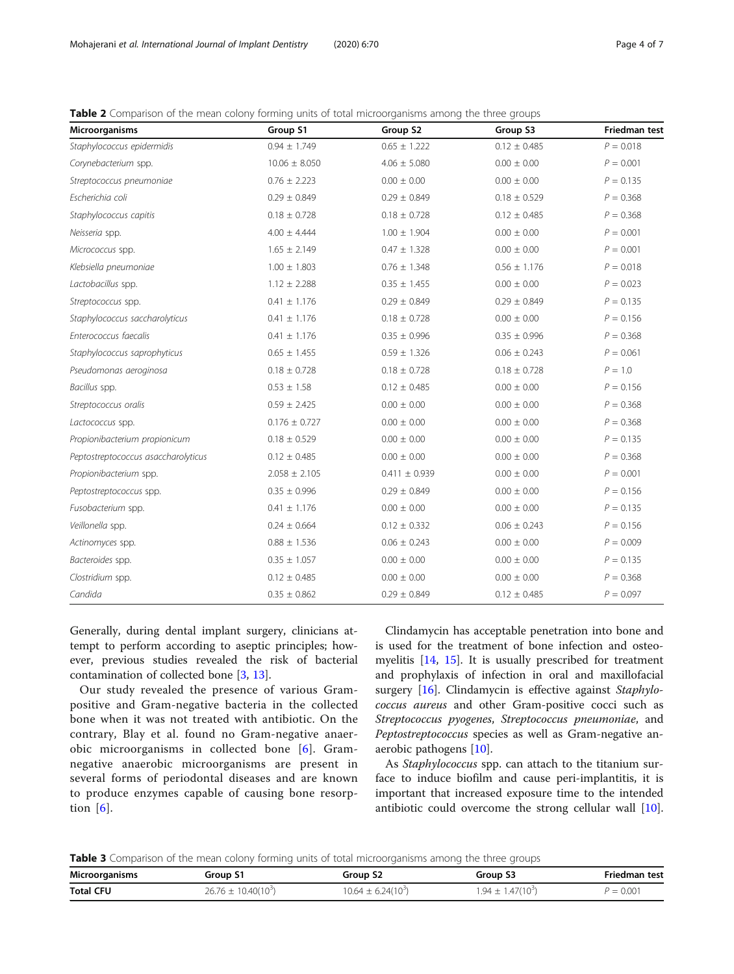<span id="page-3-0"></span>

| <b>Table 2</b> Comparison of the mean colony forming units of total microorganisms among the three groups |  |  |
|-----------------------------------------------------------------------------------------------------------|--|--|
|                                                                                                           |  |  |

| Microorganisms                      | Group S1          | Group S2          | Group S3          | <b>Friedman test</b> |
|-------------------------------------|-------------------|-------------------|-------------------|----------------------|
| Staphylococcus epidermidis          | $0.94 \pm 1.749$  | $0.65 \pm 1.222$  | $0.12 \pm 0.485$  | $P = 0.018$          |
| Corynebacterium spp.                | $10.06 \pm 8.050$ | $4.06 \pm 5.080$  | $0.00 \pm 0.00$   | $P = 0.001$          |
| Streptococcus pneumoniae            | $0.76 \pm 2.223$  | $0.00 \pm 0.00$   | $0.00 \pm 0.00$   | $P = 0.135$          |
| Escherichia coli                    | $0.29 \pm 0.849$  | $0.29 \pm 0.849$  | $0.18 \pm 0.529$  | $P = 0.368$          |
| Staphylococcus capitis              | $0.18 \pm 0.728$  | $0.18 \pm 0.728$  | $0.12 \pm 0.485$  | $P = 0.368$          |
| Neisseria spp.                      | $4.00 \pm 4.444$  | $1.00 \pm 1.904$  | $0.00 \pm 0.00$   | $P = 0.001$          |
| Micrococcus spp.                    | $1.65 \pm 2.149$  | $0.47 \pm 1.328$  | $0.00 \pm 0.00$   | $P = 0.001$          |
| Klebsiella pneumoniae               | $1.00 \pm 1.803$  | $0.76 \pm 1.348$  | $0.56 \pm 1.176$  | $P = 0.018$          |
| Lactobacillus spp.                  | $1.12 \pm 2.288$  | $0.35 \pm 1.455$  | $0.00 \pm 0.00$   | $P = 0.023$          |
| Streptococcus spp.                  | $0.41 \pm 1.176$  | $0.29 \pm 0.849$  | $0.29 \pm 0.849$  | $P = 0.135$          |
| Staphylococcus saccharolyticus      | $0.41 \pm 1.176$  | $0.18 \pm 0.728$  | $0.00 \pm 0.00$   | $P = 0.156$          |
| Enterococcus faecalis               | $0.41 \pm 1.176$  | $0.35 \pm 0.996$  | $0.35 \pm 0.996$  | $P = 0.368$          |
| Staphylococcus saprophyticus        | $0.65 \pm 1.455$  | $0.59 \pm 1.326$  | $0.06 \pm 0.243$  | $P = 0.061$          |
| Pseudomonas aeroginosa              | $0.18 \pm 0.728$  | $0.18 \pm 0.728$  | $0.18 \pm 0.728$  | $P = 1.0$            |
| Bacillus spp.                       | $0.53 \pm 1.58$   | $0.12 \pm 0.485$  | $0.00 \pm 0.00$   | $P = 0.156$          |
| Streptococcus oralis                | $0.59 \pm 2.425$  | $0.00 \pm 0.00$   | $0.00 \pm 0.00$   | $P = 0.368$          |
| Lactococcus spp.                    | $0.176 \pm 0.727$ | $0.00 \pm 0.00$   | $0.00 \pm 0.00$   | $P = 0.368$          |
| Propionibacterium propionicum       | $0.18 \pm 0.529$  | $0.00 \pm 0.00$   | $0.00 \pm 0.00$   | $P = 0.135$          |
| Peptostreptococcus asaccharolyticus | $0.12 \pm 0.485$  | $0.00\,\pm\,0.00$ | $0.00\,\pm\,0.00$ | $P = 0.368$          |
| Propionibacterium spp.              | $2.058 \pm 2.105$ | $0.411 \pm 0.939$ | $0.00 \pm 0.00$   | $P = 0.001$          |
| Peptostreptococcus spp.             | $0.35 \pm 0.996$  | $0.29 \pm 0.849$  | $0.00\,\pm\,0.00$ | $P = 0.156$          |
| Fusobacterium spp.                  | $0.41 \pm 1.176$  | $0.00 \pm 0.00$   | $0.00 \pm 0.00$   | $P = 0.135$          |
| Veillonella spp.                    | $0.24 \pm 0.664$  | $0.12 \pm 0.332$  | $0.06 \pm 0.243$  | $P = 0.156$          |
| Actinomyces spp.                    | $0.88 \pm 1.536$  | $0.06 \pm 0.243$  | $0.00 \pm 0.00$   | $P = 0.009$          |
| Bacteroides spp.                    | $0.35 \pm 1.057$  | $0.00\,\pm\,0.00$ | $0.00\,\pm\,0.00$ | $P = 0.135$          |
| Clostridium spp.                    | $0.12 \pm 0.485$  | $0.00 \pm 0.00$   | $0.00 \pm 0.00$   | $P = 0.368$          |
| Candida                             | $0.35 \pm 0.862$  | $0.29 \pm 0.849$  | $0.12 \pm 0.485$  | $P = 0.097$          |

Generally, during dental implant surgery, clinicians attempt to perform according to aseptic principles; however, previous studies revealed the risk of bacterial contamination of collected bone [\[3](#page-5-0), [13\]](#page-6-0).

Our study revealed the presence of various Grampositive and Gram-negative bacteria in the collected bone when it was not treated with antibiotic. On the contrary, Blay et al. found no Gram-negative anaerobic microorganisms in collected bone [\[6\]](#page-5-0). Gramnegative anaerobic microorganisms are present in several forms of periodontal diseases and are known to produce enzymes capable of causing bone resorption  $[6]$  $[6]$  $[6]$ .

Clindamycin has acceptable penetration into bone and is used for the treatment of bone infection and osteomyelitis [\[14,](#page-6-0) [15](#page-6-0)]. It is usually prescribed for treatment and prophylaxis of infection in oral and maxillofacial surgery [\[16](#page-6-0)]. Clindamycin is effective against Staphylococcus aureus and other Gram-positive cocci such as Streptococcus pyogenes, Streptococcus pneumoniae, and Peptostreptococcus species as well as Gram-negative anaerobic pathogens [[10\]](#page-6-0).

As Staphylococcus spp. can attach to the titanium surface to induce biofilm and cause peri-implantitis, it is important that increased exposure time to the intended antibiotic could overcome the strong cellular wall [\[10](#page-6-0)].

Table 3 Comparison of the mean colony forming units of total microorganisms among the three groups

| Microorganisms   | Group 51                | Group S2                 | Group S3               | <b>Friedman test</b> |
|------------------|-------------------------|--------------------------|------------------------|----------------------|
| <b>Total CFU</b> | $26.76 \pm 10.40(10^3)$ | $10.64 \pm 6.24(10^{3})$ | $.94 \pm 1.47(10^{3})$ | $P = 0.00i$          |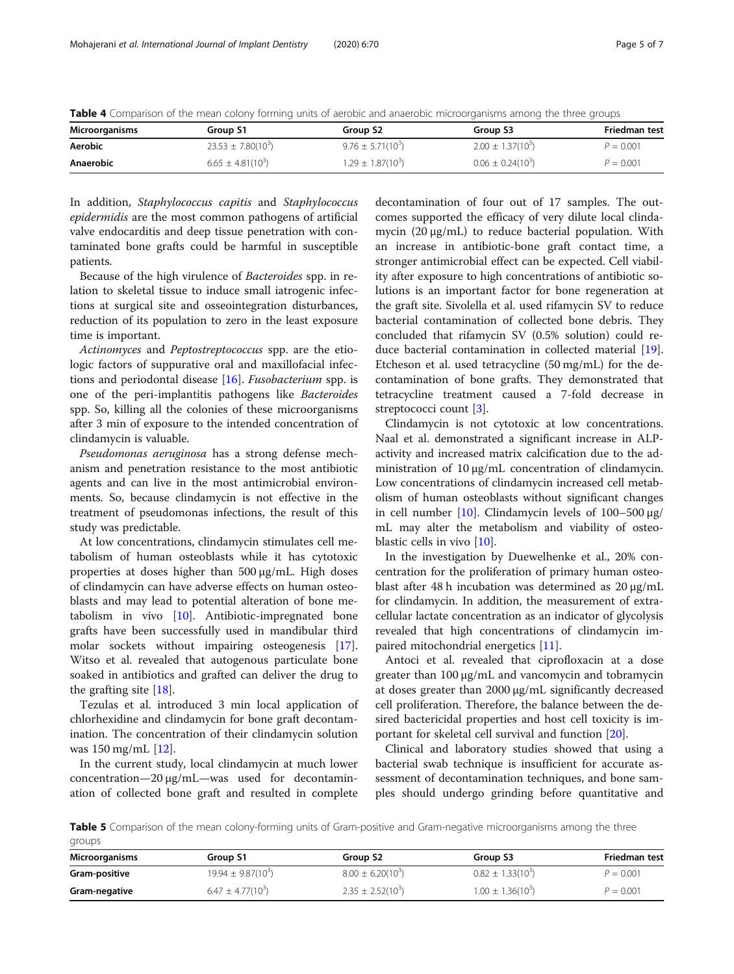<span id="page-4-0"></span>Table 4 Comparison of the mean colony forming units of aerobic and anaerobic microorganisms among the three groups

| Microorganisms | Group S1               | Group S <sub>2</sub>  | Group S3              | Friedman test |
|----------------|------------------------|-----------------------|-----------------------|---------------|
| <b>Aerobic</b> | $23.53 \pm 7.80(10^3)$ | $9.76 \pm 5.71(10^3)$ | $2.00 \pm 1.37(10^3)$ | $P = 0.001$   |
| Anaerobic      | $6.65 \pm 4.81(10^3)$  | $1.29 \pm 1.87(10^3)$ | $0.06 \pm 0.24(10^3)$ | $P = 0.001$   |

In addition, Staphylococcus capitis and Staphylococcus epidermidis are the most common pathogens of artificial valve endocarditis and deep tissue penetration with contaminated bone grafts could be harmful in susceptible patients.

Because of the high virulence of Bacteroides spp. in relation to skeletal tissue to induce small iatrogenic infections at surgical site and osseointegration disturbances, reduction of its population to zero in the least exposure time is important.

Actinomyces and Peptostreptococcus spp. are the etiologic factors of suppurative oral and maxillofacial infections and periodontal disease [\[16\]](#page-6-0). Fusobacterium spp. is one of the peri-implantitis pathogens like Bacteroides spp. So, killing all the colonies of these microorganisms after 3 min of exposure to the intended concentration of clindamycin is valuable.

Pseudomonas aeruginosa has a strong defense mechanism and penetration resistance to the most antibiotic agents and can live in the most antimicrobial environments. So, because clindamycin is not effective in the treatment of pseudomonas infections, the result of this study was predictable.

At low concentrations, clindamycin stimulates cell metabolism of human osteoblasts while it has cytotoxic properties at doses higher than 500 μg/mL. High doses of clindamycin can have adverse effects on human osteoblasts and may lead to potential alteration of bone metabolism in vivo [\[10](#page-6-0)]. Antibiotic-impregnated bone grafts have been successfully used in mandibular third molar sockets without impairing osteogenesis [\[17](#page-6-0)]. Witso et al. revealed that autogenous particulate bone soaked in antibiotics and grafted can deliver the drug to the grafting site [[18\]](#page-6-0).

Tezulas et al. introduced 3 min local application of chlorhexidine and clindamycin for bone graft decontamination. The concentration of their clindamycin solution was 150 mg/mL [[12](#page-6-0)].

In the current study, local clindamycin at much lower concentration—20 μg/mL—was used for decontamination of collected bone graft and resulted in complete decontamination of four out of 17 samples. The outcomes supported the efficacy of very dilute local clindamycin (20 μg/mL) to reduce bacterial population. With an increase in antibiotic-bone graft contact time, a stronger antimicrobial effect can be expected. Cell viability after exposure to high concentrations of antibiotic solutions is an important factor for bone regeneration at the graft site. Sivolella et al. used rifamycin SV to reduce bacterial contamination of collected bone debris. They concluded that rifamycin SV (0.5% solution) could reduce bacterial contamination in collected material [\[19](#page-6-0)]. Etcheson et al. used tetracycline (50 mg/mL) for the decontamination of bone grafts. They demonstrated that tetracycline treatment caused a 7-fold decrease in streptococci count [[3](#page-5-0)].

Clindamycin is not cytotoxic at low concentrations. Naal et al. demonstrated a significant increase in ALPactivity and increased matrix calcification due to the administration of 10 μg/mL concentration of clindamycin. Low concentrations of clindamycin increased cell metabolism of human osteoblasts without significant changes in cell number [\[10](#page-6-0)]. Clindamycin levels of 100–500 μg/ mL may alter the metabolism and viability of osteoblastic cells in vivo [[10\]](#page-6-0).

In the investigation by Duewelhenke et al., 20% concentration for the proliferation of primary human osteoblast after 48 h incubation was determined as 20 μg/mL for clindamycin. In addition, the measurement of extracellular lactate concentration as an indicator of glycolysis revealed that high concentrations of clindamycin impaired mitochondrial energetics [[11\]](#page-6-0).

Antoci et al. revealed that ciprofloxacin at a dose greater than 100 μg/mL and vancomycin and tobramycin at doses greater than 2000 μg/mL significantly decreased cell proliferation. Therefore, the balance between the desired bactericidal properties and host cell toxicity is important for skeletal cell survival and function [[20\]](#page-6-0).

Clinical and laboratory studies showed that using a bacterial swab technique is insufficient for accurate assessment of decontamination techniques, and bone samples should undergo grinding before quantitative and

Table 5 Comparison of the mean colony-forming units of Gram-positive and Gram-negative microorganisms among the three groups

| Microorganisms | Group S1               | Group S <sub>2</sub>  | Group S3              | Friedman test |
|----------------|------------------------|-----------------------|-----------------------|---------------|
| Gram-positive  | $19.94 \pm 9.87(10^3)$ | $8.00 \pm 6.20(10^3)$ | $0.82 \pm 1.33(10^3)$ | $P = 0.001$   |
| Gram-negative  | $6.47 \pm 4.77(10^3)$  | $2.35 \pm 2.52(10^3)$ | $1.00 \pm 1.36(10^3)$ | $P = 0.001$   |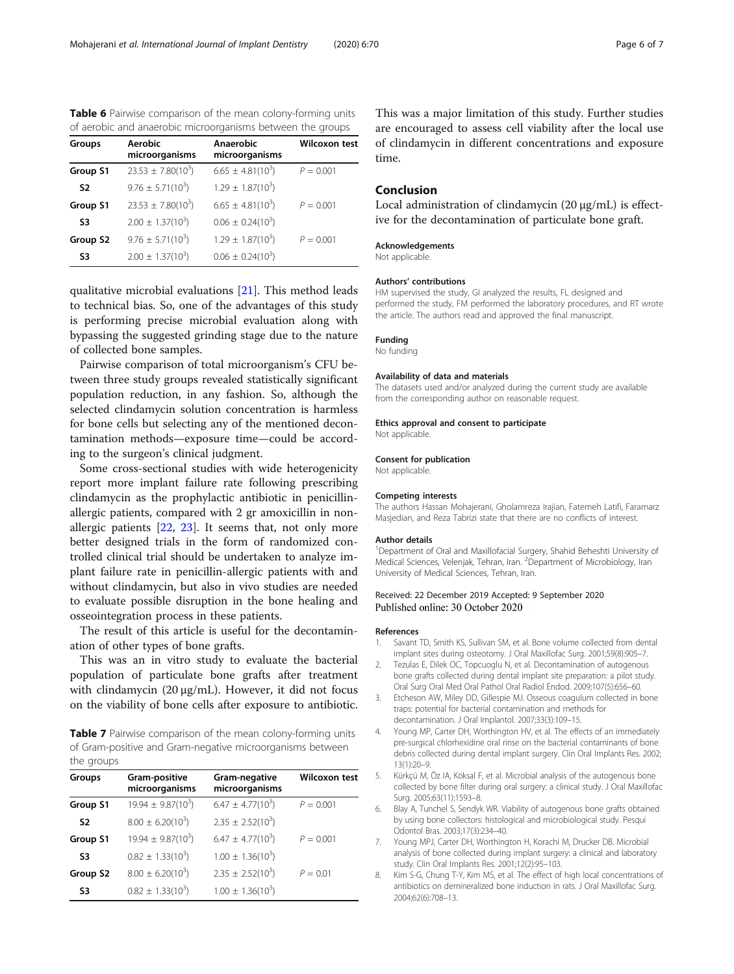<span id="page-5-0"></span>Table 6 Pairwise comparison of the mean colony-forming units of aerobic and anaerobic microorganisms between the groups

| Groups         | <b>Aerobic</b><br>microorganisms | Anaerobic<br>microorganisms | <b>Wilcoxon test</b> |
|----------------|----------------------------------|-----------------------------|----------------------|
| Group S1       | $23.53 \pm 7.80(10^3)$           | $6.65 \pm 4.81(10^3)$       | $P = 0.001$          |
| S <sub>2</sub> | $9.76 \pm 5.71(10^3)$            | $1.29 \pm 1.87(10^3)$       |                      |
| Group S1       | $23.53 \pm 7.80(10^3)$           | $6.65 \pm 4.81(10^3)$       | $P = 0.001$          |
| S3             | $2.00 \pm 1.37(10^3)$            | $0.06 \pm 0.24(10^3)$       |                      |
| Group S2       | $9.76 \pm 5.71(10^3)$            | $1.29 \pm 1.87(10^3)$       | $P = 0.001$          |
| S3             | $2.00 \pm 1.37(10^3)$            | $0.06 \pm 0.24(10^3)$       |                      |

qualitative microbial evaluations [[21\]](#page-6-0). This method leads to technical bias. So, one of the advantages of this study is performing precise microbial evaluation along with bypassing the suggested grinding stage due to the nature of collected bone samples.

Pairwise comparison of total microorganism's CFU between three study groups revealed statistically significant population reduction, in any fashion. So, although the selected clindamycin solution concentration is harmless for bone cells but selecting any of the mentioned decontamination methods—exposure time—could be according to the surgeon's clinical judgment.

Some cross-sectional studies with wide heterogenicity report more implant failure rate following prescribing clindamycin as the prophylactic antibiotic in penicillinallergic patients, compared with 2 gr amoxicillin in nonallergic patients [\[22](#page-6-0), [23](#page-6-0)]. It seems that, not only more better designed trials in the form of randomized controlled clinical trial should be undertaken to analyze implant failure rate in penicillin-allergic patients with and without clindamycin, but also in vivo studies are needed to evaluate possible disruption in the bone healing and osseointegration process in these patients.

The result of this article is useful for the decontamination of other types of bone grafts.

This was an in vitro study to evaluate the bacterial population of particulate bone grafts after treatment with clindamycin  $(20 \mu g/mL)$ . However, it did not focus on the viability of bone cells after exposure to antibiotic.

Table 7 Pairwise comparison of the mean colony-forming units of Gram-positive and Gram-negative microorganisms between the groups

| Groups         | Gram-positive<br>microorganisms | Gram-negative<br>microorganisms | <b>Wilcoxon test</b> |
|----------------|---------------------------------|---------------------------------|----------------------|
| Group S1       | $19.94 \pm 9.87(10^3)$          | $6.47 \pm 4.77(10^3)$           | $P = 0.001$          |
| S <sub>2</sub> | $8.00 \pm 6.20(10^3)$           | $2.35 \pm 2.52(10^3)$           |                      |
| Group S1       | $19.94 \pm 9.87(10^3)$          | $6.47 \pm 4.77(10^3)$           | $P = 0.001$          |
| S3             | $0.82 \pm 1.33(10^3)$           | $1.00 \pm 1.36(10^3)$           |                      |
| Group S2       | $8.00 \pm 6.20(10^3)$           | $2.35 \pm 2.52(10^3)$           | $P = 0.01$           |
| S3             | $0.82 \pm 1.33(10^3)$           | $1.00 \pm 1.36(10^3)$           |                      |

This was a major limitation of this study. Further studies are encouraged to assess cell viability after the local use of clindamycin in different concentrations and exposure time.

## Conclusion

Local administration of clindamycin (20 μg/mL) is effective for the decontamination of particulate bone graft.

#### Acknowledgements

Not applicable.

#### Authors' contributions

HM supervised the study, GI analyzed the results, FL designed and performed the study, FM performed the laboratory procedures, and RT wrote the article. The authors read and approved the final manuscript.

#### Funding

No funding

#### Availability of data and materials

The datasets used and/or analyzed during the current study are available from the corresponding author on reasonable request.

#### Ethics approval and consent to participate

Not applicable.

#### Consent for publication

Not applicable.

#### Competing interests

The authors Hassan Mohajerani, Gholamreza Irajian, Fatemeh Latifi, Faramarz Masjedian, and Reza Tabrizi state that there are no conflicts of interest.

#### Author details

<sup>1</sup>Department of Oral and Maxillofacial Surgery, Shahid Beheshti University of Medical Sciences, Velenjak, Tehran, Iran. <sup>2</sup>Department of Microbiology, Iran University of Medical Sciences, Tehran, Iran.

#### Received: 22 December 2019 Accepted: 9 September 2020 Published online: 30 October 2020

#### References

- 1. Savant TD, Smith KS, Sullivan SM, et al. Bone volume collected from dental implant sites during osteotomy. J Oral Maxillofac Surg. 2001;59(8):905–7.
- 2. Tezulas E, Dilek OC, Topcuoglu N, et al. Decontamination of autogenous bone grafts collected during dental implant site preparation: a pilot study. Oral Surg Oral Med Oral Pathol Oral Radiol Endod. 2009;107(5):656–60.
- Etcheson AW, Miley DD, Gillespie MJ. Osseous coagulum collected in bone traps: potential for bacterial contamination and methods for decontamination. J Oral Implantol. 2007;33(3):109–15.
- 4. Young MP, Carter DH, Worthington HV, et al. The effects of an immediately pre-surgical chlorhexidine oral rinse on the bacterial contaminants of bone debris collected during dental implant surgery. Clin Oral Implants Res. 2002; 13(1):20–9.
- 5. Kürkçü M, Öz IA, Köksal F, et al. Microbial analysis of the autogenous bone collected by bone filter during oral surgery: a clinical study. J Oral Maxillofac Surg. 2005;63(11):1593–8.
- 6. Blay A, Tunchel S, Sendyk WR. Viability of autogenous bone grafts obtained by using bone collectors: histological and microbiological study. Pesqui Odontol Bras. 2003;17(3):234–40.
- 7. Young MPJ, Carter DH, Worthington H, Korachi M, Drucker DB. Microbial analysis of bone collected during implant surgery: a clinical and laboratory study. Clin Oral Implants Res. 2001;12(2):95–103.
- 8. Kim S-G, Chung T-Y, Kim MS, et al. The effect of high local concentrations of antibiotics on demineralized bone induction in rats. J Oral Maxillofac Surg. 2004;62(6):708–13.